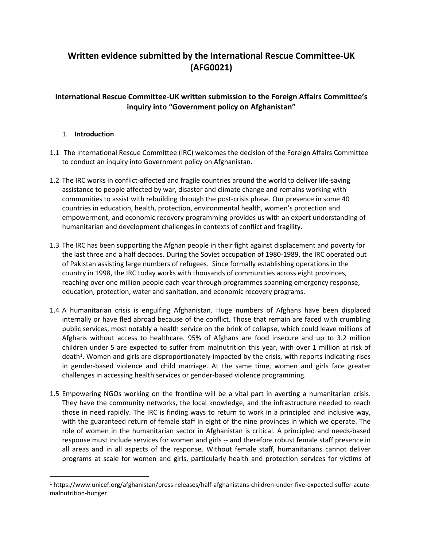# **Written evidence submitted by the International Rescue Committee-UK (AFG0021)**

## **International Rescue Committee-UK written submission to the Foreign Affairs Committee's inquiry into "Government policy on Afghanistan"**

## 1. **Introduction**

- 1.1 The International Rescue Committee (IRC) welcomes the decision of the Foreign Affairs Committee to conduct an inquiry into Government policy on Afghanistan.
- 1.2 The IRC works in conflict-affected and fragile countries around the world to deliver life-saving assistance to people affected by war, disaster and climate change and remains working with communities to assist with rebuilding through the post-crisis phase. Our presence in some 40 countries in education, health, protection, environmental health, women's protection and empowerment, and economic recovery programming provides us with an expert understanding of humanitarian and development challenges in contexts of conflict and fragility.
- 1.3 The IRC has been supporting the Afghan people in their fight against displacement and poverty for the last three and a half decades. During the Soviet occupation of 1980-1989, the IRC operated out of Pakistan assisting large numbers of refugees. Since formally establishing operations in the country in 1998, the IRC today works with thousands of communities across eight provinces, reaching over one million people each year through programmes spanning emergency response, education, protection, water and sanitation, and economic recovery programs.
- 1.4 A humanitarian crisis is engulfing Afghanistan. Huge numbers of Afghans have been displaced internally or have fled abroad because of the conflict. Those that remain are faced with crumbling public services, most notably a health service on the brink of collapse, which could leave millions of Afghans without access to healthcare. 95% of Afghans are food insecure and up to 3.2 million children under 5 are expected to suffer from malnutrition this year, with over 1 million at risk of death<sup>1</sup>. Women and girls are disproportionately impacted by the crisis, with reports indicating rises in gender-based violence and child marriage. At the same time, women and girls face greater challenges in accessing health services or gender-based violence programming.
- 1.5 Empowering NGOs working on the frontline will be a vital part in averting a humanitarian crisis. They have the community networks, the local knowledge, and the infrastructure needed to reach those in need rapidly. The IRC is finding ways to return to work in a principled and inclusive way, with the guaranteed return of female staff in eight of the nine provinces in which we operate. The role of women in the humanitarian sector in Afghanistan is critical. A principled and needs-based response must include services for women and girls -- and therefore robust female staff presence in all areas and in all aspects of the response. Without female staff, humanitarians cannot deliver programs at scale for women and girls, particularly health and protection services for victims of

<sup>1</sup> https://www.unicef.org/afghanistan/press-releases/half-afghanistans-children-under-five-expected-suffer-acutemalnutrition-hunger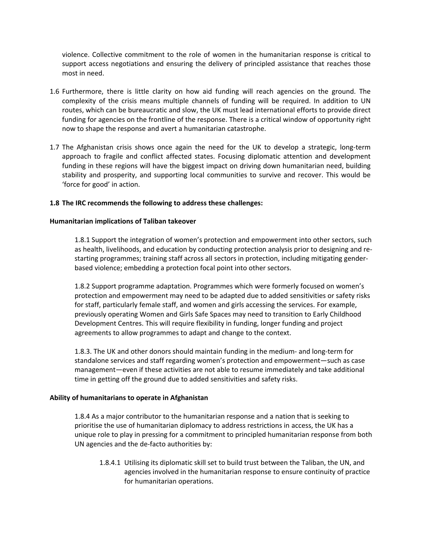violence. Collective commitment to the role of women in the humanitarian response is critical to support access negotiations and ensuring the delivery of principled assistance that reaches those most in need.

- 1.6 Furthermore, there is little clarity on how aid funding will reach agencies on the ground. The complexity of the crisis means multiple channels of funding will be required. In addition to UN routes, which can be bureaucratic and slow, the UK must lead international efforts to provide direct funding for agencies on the frontline of the response. There is a critical window of opportunity right now to shape the response and avert a humanitarian catastrophe.
- 1.7 The Afghanistan crisis shows once again the need for the UK to develop a strategic, long-term approach to fragile and conflict affected states. Focusing diplomatic attention and development funding in these regions will have the biggest impact on driving down humanitarian need, building stability and prosperity, and supporting local communities to survive and recover. This would be 'force for good' in action.

#### **1.8 The IRC recommends the following to address these challenges:**

#### **Humanitarian implications of Taliban takeover**

1.8.1 Support the integration of women's protection and empowerment into other sectors, such as health, livelihoods, and education by conducting protection analysis prior to designing and restarting programmes; training staff across all sectors in protection, including mitigating genderbased violence; embedding a protection focal point into other sectors.

1.8.2 Support programme adaptation. Programmes which were formerly focused on women's protection and empowerment may need to be adapted due to added sensitivities or safety risks for staff, particularly female staff, and women and girls accessing the services. For example, previously operating Women and Girls Safe Spaces may need to transition to Early Childhood Development Centres. This will require flexibility in funding, longer funding and project agreements to allow programmes to adapt and change to the context.

1.8.3. The UK and other donors should maintain funding in the medium- and long-term for standalone services and staff regarding women's protection and empowerment—such as case management—even if these activities are not able to resume immediately and take additional time in getting off the ground due to added sensitivities and safety risks.

#### **Ability of humanitarians to operate in Afghanistan**

1.8.4 As a major contributor to the humanitarian response and a nation that is seeking to prioritise the use of humanitarian diplomacy to address restrictions in access, the UK has a unique role to play in pressing for a commitment to principled humanitarian response from both UN agencies and the de-facto authorities by:

1.8.4.1 Utilising its diplomatic skill set to build trust between the Taliban, the UN, and agencies involved in the humanitarian response to ensure continuity of practice for humanitarian operations.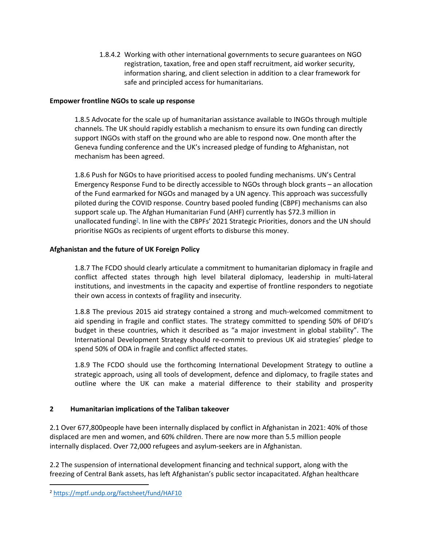1.8.4.2 Working with other international governments to secure guarantees on NGO registration, taxation, free and open staff recruitment, aid worker security, information sharing, and client selection in addition to a clear framework for safe and principled access for humanitarians.

## **Empower frontline NGOs to scale up response**

1.8.5 Advocate for the scale up of humanitarian assistance available to INGOs through multiple channels. The UK should rapidly establish a mechanism to ensure its own funding can directly support INGOs with staff on the ground who are able to respond now. One month after the Geneva funding conference and the UK's increased pledge of funding to Afghanistan, not mechanism has been agreed.

1.8.6 Push for NGOs to have prioritised access to pooled funding mechanisms. UN's Central Emergency Response Fund to be directly accessible to NGOs through block grants – an allocation of the Fund earmarked for NGOs and managed by a UN agency. This approach was successfully piloted during the COVID response. Country based pooled funding (CBPF) mechanisms can also support scale up. The Afghan Humanitarian Fund (AHF) currently has \$72.3 million in unallocated funding<sup>2</sup>. In line with the CBPFs' 2021 Strategic Priorities, donors and the UN should prioritise NGOs as recipients of urgent efforts to disburse this money.

## **Afghanistan and the future of UK Foreign Policy**

1.8.7 The FCDO should clearly articulate a commitment to humanitarian diplomacy in fragile and conflict affected states through high level bilateral diplomacy, leadership in multi-lateral institutions, and investments in the capacity and expertise of frontline responders to negotiate their own access in contexts of fragility and insecurity.

1.8.8 The previous 2015 aid strategy contained a strong and much-welcomed commitment to aid spending in fragile and conflict states. The strategy committed to spending 50% of DFID's budget in these countries, which it described as "a major investment in global stability". The International Development Strategy should re-commit to previous UK aid strategies' pledge to spend 50% of ODA in fragile and conflict affected states.

1.8.9 The FCDO should use the forthcoming International Development Strategy to outline a strategic approach, using all tools of development, defence and diplomacy, to fragile states and outline where the UK can make a material difference to their stability and prosperity

#### **2 Humanitarian implications of the Taliban takeover**

2.1 Over 677,800people have been internally displaced by conflict in Afghanistan in 2021: 40% of those displaced are men and women, and 60% children. There are now more than 5.5 million people internally displaced. Over 72,000 refugees and asylum-seekers are in Afghanistan.

2.2 The suspension of international development financing and technical support, along with the freezing of Central Bank assets, has left Afghanistan's public sector incapacitated. Afghan healthcare

<sup>2</sup> <https://mptf.undp.org/factsheet/fund/HAF10>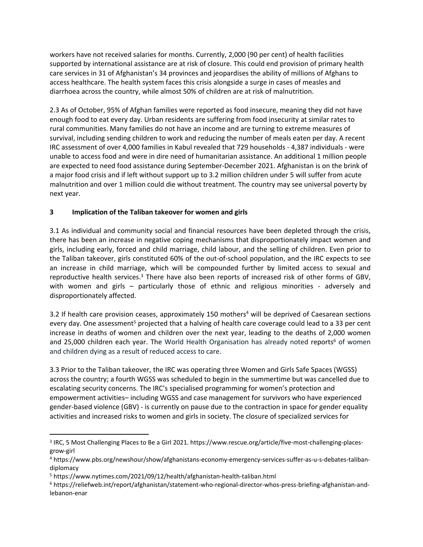workers have not received salaries for months. Currently, 2,000 (90 per cent) of health facilities supported by international assistance are at risk of closure. This could end provision of primary health care services in 31 of Afghanistan's 34 provinces and jeopardises the ability of millions of Afghans to access healthcare. The health system faces this crisis alongside a surge in cases of measles and diarrhoea across the country, while almost 50% of children are at risk of malnutrition.

2.3 As of October, 95% of Afghan families were reported as food insecure, meaning they did not have enough food to eat every day. Urban residents are suffering from food insecurity at similar rates to rural communities. Many families do not have an income and are turning to extreme measures of survival, including sending children to work and reducing the number of meals eaten per day. A recent IRC assessment of over 4,000 families in Kabul revealed that 729 households - 4,387 individuals - were unable to access food and were in dire need of humanitarian assistance. An additional 1 million people are expected to need food assistance during September-December 2021. Afghanistan is on the brink of a major food crisis and if left without support up to 3.2 million children under 5 will suffer from acute malnutrition and over 1 million could die without treatment. The country may see universal poverty by next year.

## **3 Implication of the Taliban takeover for women and girls**

3.1 As individual and community social and financial resources have been depleted through the crisis, there has been an increase in negative coping mechanisms that disproportionately impact women and girls, including early, forced and child marriage, child labour, and the selling of children. Even prior to the Taliban takeover, girls constituted 60% of the out-of-school population, and the IRC expects to see an increase in child marriage, which will be compounded further by limited access to sexual and reproductive health services.<sup>3</sup> There have also been reports of increased risk of other forms of GBV, with women and girls – particularly those of ethnic and religious minorities - adversely and disproportionately affected.

3.2 If health care provision ceases, approximately 150 mothers<sup>4</sup> will be deprived of Caesarean sections every day. One assessment<sup>5</sup> projected that a halving of health care coverage could lead to a 33 per cent increase in deaths of women and children over the next year, leading to the deaths of 2,000 women and 25,000 children each year. The World Health Organisation has already noted reports<sup>6</sup> of women and children dying as a result of reduced access to care.

3.3 Prior to the Taliban takeover, the IRC was operating three Women and Girls Safe Spaces (WGSS) across the country; a fourth WGSS was scheduled to begin in the summertime but was cancelled due to escalating security concerns. The IRC's specialised programming for women's protection and empowerment activities– including WGSS and case management for survivors who have experienced gender-based violence (GBV) - is currently on pause due to the contraction in space for gender equality activities and increased risks to women and girls in society. The closure of specialized services for

<sup>&</sup>lt;sup>3</sup> IRC, 5 Most Challenging Places to Be a Girl 2021. https://www.rescue.org/article/five-most-challenging-placesgrow-girl

<sup>4</sup> https://www.pbs.org/newshour/show/afghanistans-economy-emergency-services-suffer-as-u-s-debates-talibandiplomacy

<sup>5</sup> https://www.nytimes.com/2021/09/12/health/afghanistan-health-taliban.html

<sup>6</sup> https://reliefweb.int/report/afghanistan/statement-who-regional-director-whos-press-briefing-afghanistan-andlebanon-enar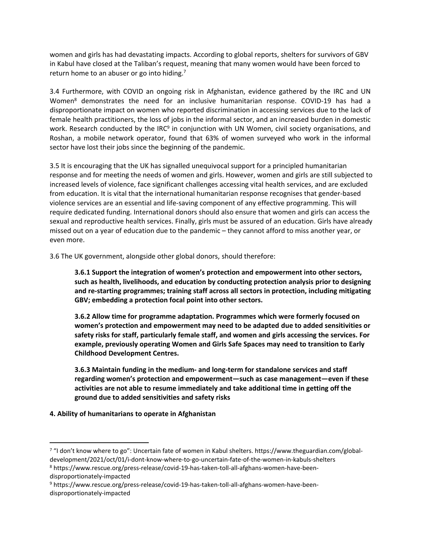women and girls has had devastating impacts. According to global reports, shelters for survivors of GBV in Kabul have closed at the Taliban's request, meaning that many women would have been forced to return home to an abuser or go into hiding.<sup>7</sup>

3.4 Furthermore, with COVID an ongoing risk in Afghanistan, evidence gathered by the IRC and UN Women<sup>8</sup> demonstrates the need for an inclusive humanitarian response. COVID-19 has had a disproportionate impact on women who reported discrimination in accessing services due to the lack of female health practitioners, the loss of jobs in the informal sector, and an increased burden in domestic work. Research conducted by the IRC<sup>9</sup> in conjunction with UN Women, civil society organisations, and Roshan, a mobile network operator, found that 63% of women surveyed who work in the informal sector have lost their jobs since the beginning of the pandemic.

3.5 It is encouraging that the UK has signalled unequivocal support for a principled humanitarian response and for meeting the needs of women and girls. However, women and girls are still subjected to increased levels of violence, face significant challenges accessing vital health services, and are excluded from education. It is vital that the international humanitarian response recognises that gender-based violence services are an essential and life-saving component of any effective programming. This will require dedicated funding. International donors should also ensure that women and girls can access the sexual and reproductive health services. Finally, girls must be assured of an education. Girls have already missed out on a year of education due to the pandemic – they cannot afford to miss another year, or even more.

3.6 The UK government, alongside other global donors, should therefore:

**3.6.1 Support the integration of women's protection and empowerment into other sectors, such as health, livelihoods, and education by conducting protection analysis prior to designing and re-starting programmes; training staff across all sectors in protection, including mitigating GBV; embedding a protection focal point into other sectors.**

**3.6.2 Allow time for programme adaptation. Programmes which were formerly focused on women's protection and empowerment may need to be adapted due to added sensitivities or safety risks for staff, particularly female staff, and women and girls accessing the services. For example, previously operating Women and Girls Safe Spaces may need to transition to Early Childhood Development Centres.** 

**3.6.3 Maintain funding in the medium- and long-term for standalone services and staff regarding women's protection and empowerment—such as case management—even if these activities are not able to resume immediately and take additional time in getting off the ground due to added sensitivities and safety risks**

#### **4. Ability of humanitarians to operate in Afghanistan**

<sup>&</sup>lt;sup>7</sup> "I don't know where to go": Uncertain fate of women in Kabul shelters. https://www.theguardian.com/globaldevelopment/2021/oct/01/i-dont-know-where-to-go-uncertain-fate-of-the-women-in-kabuls-shelters

<sup>8</sup> https://www.rescue.org/press-release/covid-19-has-taken-toll-all-afghans-women-have-beendisproportionately-impacted

<sup>9</sup> https://www.rescue.org/press-release/covid-19-has-taken-toll-all-afghans-women-have-beendisproportionately-impacted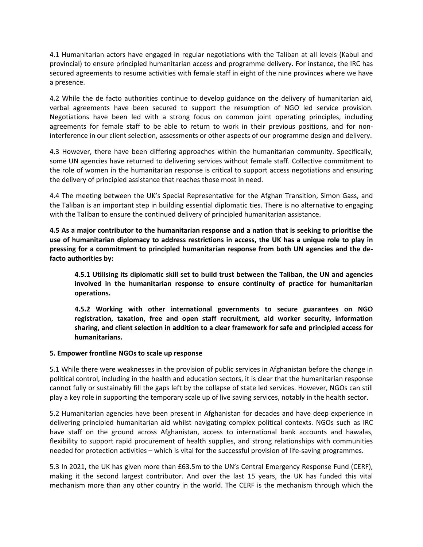4.1 Humanitarian actors have engaged in regular negotiations with the Taliban at all levels (Kabul and provincial) to ensure principled humanitarian access and programme delivery. For instance, the IRC has secured agreements to resume activities with female staff in eight of the nine provinces where we have a presence.

4.2 While the de facto authorities continue to develop guidance on the delivery of humanitarian aid, verbal agreements have been secured to support the resumption of NGO led service provision. Negotiations have been led with a strong focus on common joint operating principles, including agreements for female staff to be able to return to work in their previous positions, and for noninterference in our client selection, assessments or other aspects of our programme design and delivery.

4.3 However, there have been differing approaches within the humanitarian community. Specifically, some UN agencies have returned to delivering services without female staff. Collective commitment to the role of women in the humanitarian response is critical to support access negotiations and ensuring the delivery of principled assistance that reaches those most in need.

4.4 The meeting between the UK's Special Representative for the Afghan Transition, Simon Gass, and the Taliban is an important step in building essential diplomatic ties. There is no alternative to engaging with the Taliban to ensure the continued delivery of principled humanitarian assistance.

4.5 As a major contributor to the humanitarian response and a nation that is seeking to prioritise the use of humanitarian diplomacy to address restrictions in access, the UK has a unique role to play in **pressing for a commitment to principled humanitarian response from both UN agencies and the defacto authorities by:** 

**4.5.1 Utilising its diplomatic skill set to build trust between the Taliban, the UN and agencies involved in the humanitarian response to ensure continuity of practice for humanitarian operations.**

**4.5.2 Working with other international governments to secure guarantees on NGO registration, taxation, free and open staff recruitment, aid worker security, information sharing, and client selection in addition to a clear framework for safe and principled access for humanitarians.**

#### **5. Empower frontline NGOs to scale up response**

5.1 While there were weaknesses in the provision of public services in Afghanistan before the change in political control, including in the health and education sectors, it is clear that the humanitarian response cannot fully or sustainably fill the gaps left by the collapse of state led services. However, NGOs can still play a key role in supporting the temporary scale up of live saving services, notably in the health sector.

5.2 Humanitarian agencies have been present in Afghanistan for decades and have deep experience in delivering principled humanitarian aid whilst navigating complex political contexts. NGOs such as IRC have staff on the ground across Afghanistan, access to international bank accounts and hawalas, flexibility to support rapid procurement of health supplies, and strong relationships with communities needed for protection activities – which is vital for the successful provision of life-saving programmes.

5.3 In 2021, the UK has given more than £63.5m to the UN's Central Emergency Response Fund (CERF), making it the second largest contributor. And over the last 15 years, the UK has funded this vital mechanism more than any other country in the world. The CERF is the mechanism through which the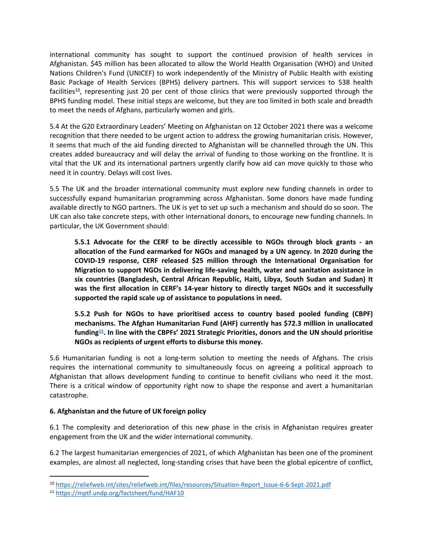international community has sought to support the continued provision of health services in Afghanistan. \$45 million has been allocated to allow the World Health Organisation (WHO) and United Nations Children's Fund (UNICEF) to work independently of the Ministry of Public Health with existing Basic Package of Health Services (BPHS) delivery partners. This will support services to 538 health facilities<sup>10</sup>, representing just 20 per cent of those clinics that were previously supported through the BPHS funding model. These initial steps are welcome, but they are too limited in both scale and breadth to meet the needs of Afghans, particularly women and girls.

5.4 At the G20 Extraordinary Leaders' Meeting on Afghanistan on 12 October 2021 there was a welcome recognition that there needed to be urgent action to address the growing humanitarian crisis. However, it seems that much of the aid funding directed to Afghanistan will be channelled through the UN. This creates added bureaucracy and will delay the arrival of funding to those working on the frontline. It is vital that the UK and its international partners urgently clarify how aid can move quickly to those who need it in country. Delays will cost lives.

5.5 The UK and the broader international community must explore new funding channels in order to successfully expand humanitarian programming across Afghanistan. Some donors have made funding available directly to NGO partners. The UK is yet to set up such a mechanism and should do so soon. The UK can also take concrete steps, with other international donors, to encourage new funding channels. In particular, the UK Government should:

**5.5.1 Advocate for the CERF to be directly accessible to NGOs through block grants - an allocation of the Fund earmarked for NGOs and managed by a UN agency. In 2020 during the COVID-19 response, CERF released \$25 million through the International Organisation for Migration to support NGOs in delivering life-saving health, water and sanitation assistance in six countries (Bangladesh, Central African Republic, Haiti, Libya, South Sudan and Sudan) It was the first allocation in CERF's 14-year history to directly target NGOs and it successfully supported the rapid scale up of assistance to populations in need.**

**5.5.2 Push for NGOs to have prioritised access to country based pooled funding (CBPF) mechanisms. The Afghan Humanitarian Fund (AHF) currently has \$72.3 million in unallocated funding<sup>11</sup> . In line with the CBPFs' 2021 Strategic Priorities, donors and the UN should prioritise NGOs as recipients of urgent efforts to disburse this money.**

5.6 Humanitarian funding is not a long-term solution to meeting the needs of Afghans. The crisis requires the international community to simultaneously focus on agreeing a political approach to Afghanistan that allows development funding to continue to benefit civilians who need it the most. There is a critical window of opportunity right now to shape the response and avert a humanitarian catastrophe.

## **6. Afghanistan and the future of UK foreign policy**

6.1 The complexity and deterioration of this new phase in the crisis in Afghanistan requires greater engagement from the UK and the wider international community.

6.2 The largest humanitarian emergencies of 2021, of which Afghanistan has been one of the prominent examples, are almost all neglected, long-standing crises that have been the global epicentre of conflict,

<sup>10</sup> [https://reliefweb.int/sites/reliefweb.int/files/resources/Situation-Report\\_Issue-6-6-Sept-2021.pdf](https://reliefweb.int/sites/reliefweb.int/files/resources/Situation-Report_Issue-6-6-Sept-2021.pdf)

<sup>11</sup> <https://mptf.undp.org/factsheet/fund/HAF10>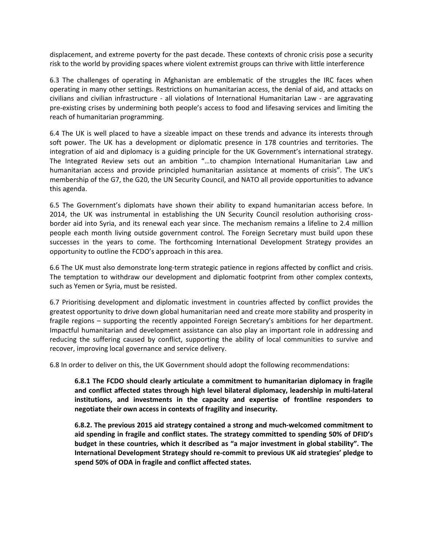displacement, and extreme poverty for the past decade. These contexts of chronic crisis pose a security risk to the world by providing spaces where violent extremist groups can thrive with little interference

6.3 The challenges of operating in Afghanistan are emblematic of the struggles the IRC faces when operating in many other settings. Restrictions on humanitarian access, the denial of aid, and attacks on civilians and civilian infrastructure - all violations of International Humanitarian Law - are aggravating pre-existing crises by undermining both people's access to food and lifesaving services and limiting the reach of humanitarian programming.

6.4 The UK is well placed to have a sizeable impact on these trends and advance its interests through soft power. The UK has a development or diplomatic presence in 178 countries and territories. The integration of aid and diplomacy is a guiding principle for the UK Government's international strategy. The Integrated Review sets out an ambition "…to champion International Humanitarian Law and humanitarian access and provide principled humanitarian assistance at moments of crisis". The UK's membership of the G7, the G20, the UN Security Council, and NATO all provide opportunities to advance this agenda.

6.5 The Government's diplomats have shown their ability to expand humanitarian access before. In 2014, the UK was instrumental in establishing the UN Security Council resolution authorising crossborder aid into Syria, and its renewal each year since. The mechanism remains a lifeline to 2.4 million people each month living outside government control. The Foreign Secretary must build upon these successes in the years to come. The forthcoming International Development Strategy provides an opportunity to outline the FCDO's approach in this area.

6.6 The UK must also demonstrate long-term strategic patience in regions affected by conflict and crisis. The temptation to withdraw our development and diplomatic footprint from other complex contexts, such as Yemen or Syria, must be resisted.

6.7 Prioritising development and diplomatic investment in countries affected by conflict provides the greatest opportunity to drive down global humanitarian need and create more stability and prosperity in fragile regions – supporting the recently appointed Foreign Secretary's ambitions for her department. Impactful humanitarian and development assistance can also play an important role in addressing and reducing the suffering caused by conflict, supporting the ability of local communities to survive and recover, improving local governance and service delivery.

6.8 In order to deliver on this, the UK Government should adopt the following recommendations:

**6.8.1 The FCDO should clearly articulate a commitment to humanitarian diplomacy in fragile and conflict affected states through high level bilateral diplomacy, leadership in multi-lateral institutions, and investments in the capacity and expertise of frontline responders to negotiate their own access in contexts of fragility and insecurity.** 

**6.8.2. The previous 2015 aid strategy contained a strong and much-welcomed commitment to aid spending in fragile and conflict states. The strategy committed to spending 50% of DFID's budget in these countries, which it described as "a major investment in global stability". The International Development Strategy should re-commit to previous UK aid strategies' pledge to spend 50% of ODA in fragile and conflict affected states.**